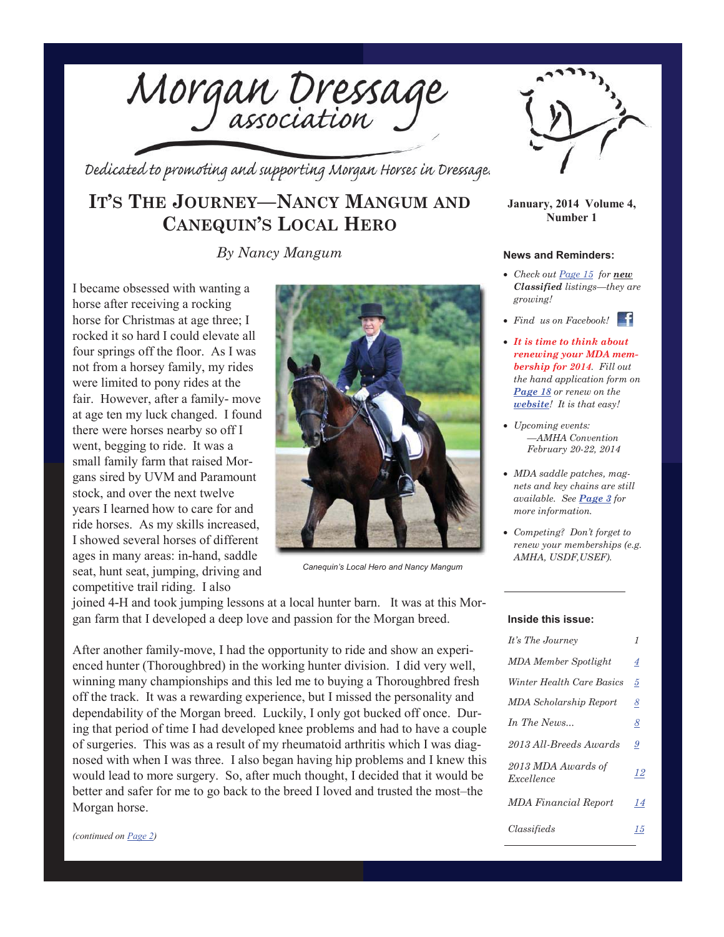

Dedicated to promoting and supporting Morgan Horses in Dressage.

## **IT'S THE JOURNEY—NANCY MANGUM AND CANEQUIN'S LOCAL HERO**

*By Nancy Mangum News and Reminders:* 

I became obsessed with wanting a horse after receiving a rocking horse for Christmas at age three; I rocked it so hard I could elevate all four springs off the floor. As I was not from a horsey family, my rides were limited to pony rides at the fair. However, after a family- move at age ten my luck changed. I found there were horses nearby so off I went, begging to ride. It was a small family farm that raised Morgans sired by UVM and Paramount stock, and over the next twelve years I learned how to care for and ride horses. As my skills increased, I showed several horses of different ages in many areas: in-hand, saddle seat, hunt seat, jumping, driving and competitive trail riding. I also



*Canequin's Local Hero and Nancy Mangum*

joined 4-H and took jumping lessons at a local hunter barn. It was at this Morgan farm that I developed a deep love and passion for the Morgan breed.

After another family-move, I had the opportunity to ride and show an experienced hunter (Thoroughbred) in the working hunter division. I did very well, winning many championships and this led me to buying a Thoroughbred fresh off the track. It was a rewarding experience, but I missed the personality and dependability of the Morgan breed. Luckily, I only got bucked off once. During that period of time I had developed knee problems and had to have a couple of surgeries. This was as a result of my rheumatoid arthritis which I was diagnosed with when I was three. I also began having hip problems and I knew this would lead to more surgery. So, after much thought, I decided that it would be better and safer for me to go back to the breed I loved and trusted the most–the Morgan horse.



**January, 2014 Volume 4, Number 1**

x *Check out Page 15 for new Classified listings—they are growing!* 

• *Find us on Facebook!* 

- x *It is time to think about renewing your MDA membership for 2014. Fill out the hand application form on Page 18 or renew on the website! It is that easy!*
- x *Upcoming events: —AMHA Convention February 20-22, 2014*
- x *MDA saddle patches, magnets and key chains are still available. See Page 3 for more information.*
- x *Competing? Don't forget to renew your memberships (e.g. AMHA, USDF,USEF).*

#### **Inside this issue:**

| It's The Journey                 | 1  |
|----------------------------------|----|
| <b>MDA</b> Member Spotlight      | 4  |
| Winter Health Care Basics        | 5  |
| <b>MDA</b> Scholarship Report    | 8  |
| In The News                      | 8  |
| 2013 All-Breeds Awards           | 9  |
| 2013 MDA Awards of<br>Excellence | 12 |
| MDA Financial Report             | 14 |
| Classifieds                      | 15 |

*(continued on Page 2)*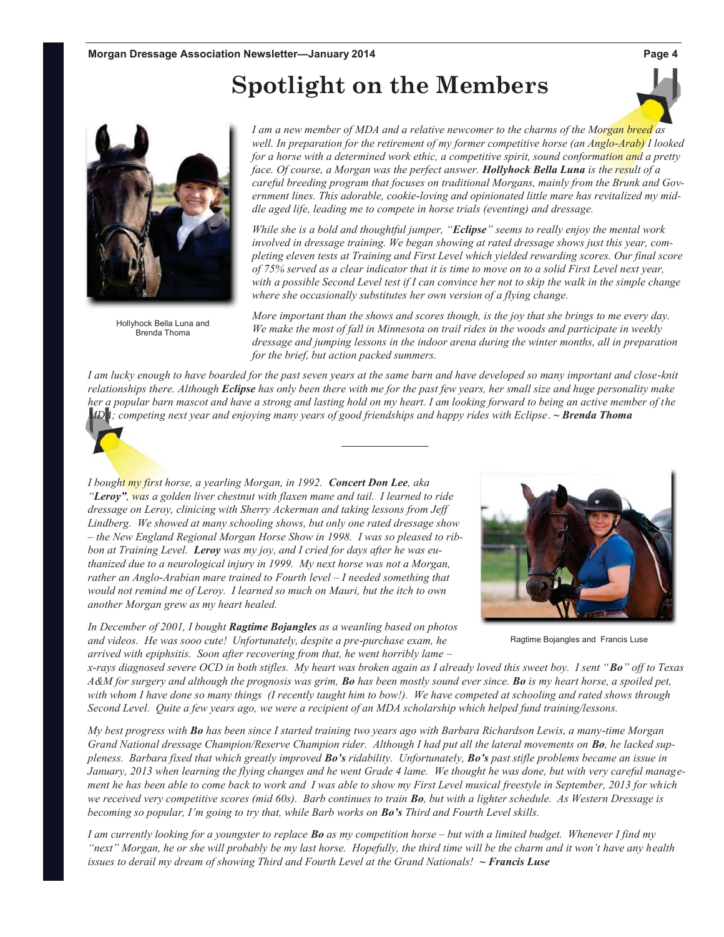# **Spotlight on the Members**



Hollyhock Bella Luna and Brenda Thoma

*I am a new member of MDA and a relative newcomer to the charms of the Morgan breed as well. In preparation for the retirement of my former competitive horse (an Anglo-Arab) I looked for a horse with a determined work ethic, a competitive spirit, sound conformation and a pretty face. Of course, a Morgan was the perfect answer. Hollyhock Bella Luna is the result of a careful breeding program that focuses on traditional Morgans, mainly from the Brunk and Government lines. This adorable, cookie-loving and opinionated little mare has revitalized my middle aged life, leading me to compete in horse trials (eventing) and dressage.* 

*While she is a bold and thoughtful jumper, "Eclipse" seems to really enjoy the mental work involved in dressage training. We began showing at rated dressage shows just this year, completing eleven tests at Training and First Level which yielded rewarding scores. Our final score of 75% served as a clear indicator that it is time to move on to a solid First Level next year, with a possible Second Level test if I can convince her not to skip the walk in the simple change where she occasionally substitutes her own version of a flying change.* 

*More important than the shows and scores though, is the joy that she brings to me every day. We make the most of fall in Minnesota on trail rides in the woods and participate in weekly dressage and jumping lessons in the indoor arena during the winter months, all in preparation for the brief, but action packed summers.* 

*I am lucky enough to have boarded for the past seven years at the same barn and have developed so many important and close-knit relationships there. Although Eclipse has only been there with me for the past few years, her small size and huge personality make her a popular barn mascot and have a strong and lasting hold on my heart. I am looking forward to being an active member of the MDA; competing next year and enjoying many years of good friendships and happy rides with Eclipse*. **~** *Brenda Thoma*

*I bought my first horse, a yearling Morgan, in 1992. Concert Don Lee, aka "Leroy", was a golden liver chestnut with flaxen mane and tail. I learned to ride dressage on Leroy, clinicing with Sherry Ackerman and taking lessons from Jeff Lindberg. We showed at many schooling shows, but only one rated dressage show – the New England Regional Morgan Horse Show in 1998. I was so pleased to ribbon at Training Level. Leroy was my joy, and I cried for days after he was euthanized due to a neurological injury in 1999. My next horse was not a Morgan, rather an Anglo-Arabian mare trained to Fourth level – I needed something that would not remind me of Leroy. I learned so much on Mauri, but the itch to own another Morgan grew as my heart healed.* 

*In December of 2001, I bought Ragtime Bojangles as a weanling based on photos and videos. He was sooo cute! Unfortunately, despite a pre-purchase exam, he arrived with epiphsitis. Soon after recovering from that, he went horribly lame –* 



Ragtime Bojangles and Francis Luse

*x-rays diagnosed severe OCD in both stifles. My heart was broken again as I already loved this sweet boy. I sent "Bo" off to Texas A&M for surgery and although the prognosis was grim, Bo has been mostly sound ever since. Bo is my heart horse, a spoiled pet, with whom I have done so many things (I recently taught him to bow!). We have competed at schooling and rated shows through Second Level. Quite a few years ago, we were a recipient of an MDA scholarship which helped fund training/lessons.* 

*My best progress with Bo has been since I started training two years ago with Barbara Richardson Lewis, a many-time Morgan Grand National dressage Champion/Reserve Champion rider. Although I had put all the lateral movements on Bo, he lacked suppleness. Barbara fixed that which greatly improved Bo's ridability. Unfortunately, Bo's past stifle problems became an issue in January, 2013 when learning the flying changes and he went Grade 4 lame. We thought he was done, but with very careful management he has been able to come back to work and I was able to show my First Level musical freestyle in September, 2013 for which we received very competitive scores (mid 60s). Barb continues to train Bo, but with a lighter schedule. As Western Dressage is becoming so popular, I'm going to try that, while Barb works on Bo's Third and Fourth Level skills.* 

*I am currently looking for a youngster to replace Bo as my competition horse – but with a limited budget. Whenever I find my "next" Morgan, he or she will probably be my last horse. Hopefully, the third time will be the charm and it won't have any health issues to derail my dream of showing Third and Fourth Level at the Grand Nationals!* **~** *Francis Luse*

**Page 4**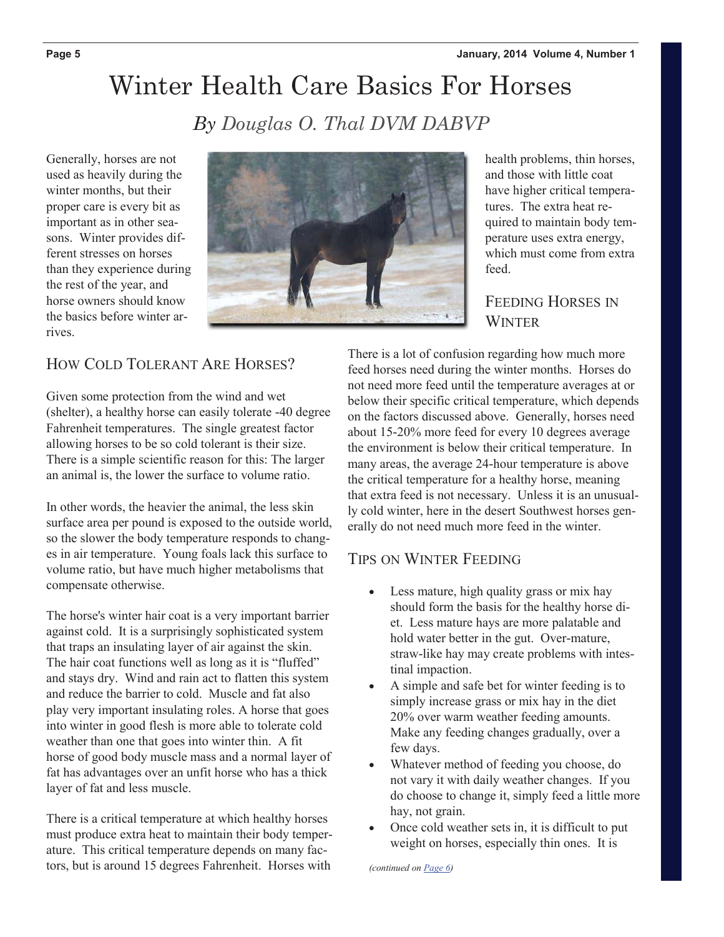# Winter Health Care Basics For Horses

*By Douglas O. Thal DVM DABVP* 

Generally, horses are not used as heavily during the winter months, but their proper care is every bit as important as in other seasons. Winter provides different stresses on horses than they experience during the rest of the year, and horse owners should know the basics before winter arrives.



health problems, thin horses, and those with little coat have higher critical temperatures. The extra heat required to maintain body temperature uses extra energy, which must come from extra feed.

### FEEDING HORSES IN **WINTER**

### HOW COLD TOLERANT ARE HORSES?

Given some protection from the wind and wet (shelter), a healthy horse can easily tolerate -40 degree Fahrenheit temperatures. The single greatest factor allowing horses to be so cold tolerant is their size. There is a simple scientific reason for this: The larger an animal is, the lower the surface to volume ratio.

In other words, the heavier the animal, the less skin surface area per pound is exposed to the outside world, so the slower the body temperature responds to changes in air temperature. Young foals lack this surface to volume ratio, but have much higher metabolisms that compensate otherwise.

The horse's winter hair coat is a very important barrier against cold. It is a surprisingly sophisticated system that traps an insulating layer of air against the skin. The hair coat functions well as long as it is "fluffed" and stays dry. Wind and rain act to flatten this system and reduce the barrier to cold. Muscle and fat also play very important insulating roles. A horse that goes into winter in good flesh is more able to tolerate cold weather than one that goes into winter thin. A fit horse of good body muscle mass and a normal layer of fat has advantages over an unfit horse who has a thick layer of fat and less muscle.

There is a critical temperature at which healthy horses must produce extra heat to maintain their body temperature. This critical temperature depends on many factors, but is around 15 degrees Fahrenheit. Horses with

There is a lot of confusion regarding how much more feed horses need during the winter months. Horses do not need more feed until the temperature averages at or below their specific critical temperature, which depends on the factors discussed above. Generally, horses need about 15-20% more feed for every 10 degrees average the environment is below their critical temperature. In many areas, the average 24-hour temperature is above the critical temperature for a healthy horse, meaning that extra feed is not necessary. Unless it is an unusually cold winter, here in the desert Southwest horses generally do not need much more feed in the winter.

### TIPS ON WINTER FEEDING

- Less mature, high quality grass or mix hay should form the basis for the healthy horse diet. Less mature hays are more palatable and hold water better in the gut. Over-mature, straw-like hay may create problems with intestinal impaction.
- x A simple and safe bet for winter feeding is to simply increase grass or mix hay in the diet 20% over warm weather feeding amounts. Make any feeding changes gradually, over a few days.
- x Whatever method of feeding you choose, do not vary it with daily weather changes. If you do choose to change it, simply feed a little more hay, not grain.
- Once cold weather sets in, it is difficult to put weight on horses, especially thin ones. It is

 *(continued on Page 6)*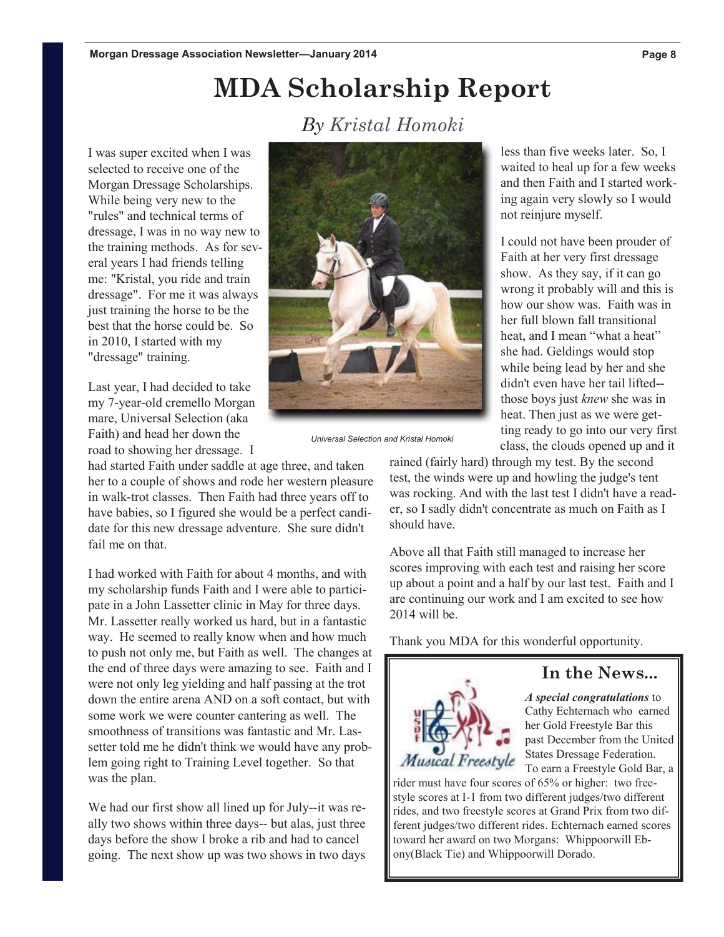# **MDA Scholarship Report**

## *By Kristal Homoki*

I was super excited when I was selected to receive one of the Morgan Dressage Scholarships. While being very new to the "rules" and technical terms of dressage, I was in no way new to the training methods. As for several years I had friends telling me: "Kristal, you ride and train dressage". For me it was always just training the horse to be the best that the horse could be. So in 2010, I started with my "dressage" training.

Last year, I had decided to take my 7-year-old cremello Morgan mare, Universal Selection (aka Faith) and head her down the road to showing her dressage. I

had started Faith under saddle at age three, and taken her to a couple of shows and rode her western pleasure in walk-trot classes. Then Faith had three years off to have babies, so I figured she would be a perfect candidate for this new dressage adventure. She sure didn't fail me on that.

I had worked with Faith for about 4 months, and with my scholarship funds Faith and I were able to participate in a John Lassetter clinic in May for three days. Mr. Lassetter really worked us hard, but in a fantastic way. He seemed to really know when and how much to push not only me, but Faith as well. The changes at the end of three days were amazing to see. Faith and I were not only leg yielding and half passing at the trot down the entire arena AND on a soft contact, but with some work we were counter cantering as well. The smoothness of transitions was fantastic and Mr. Lassetter told me he didn't think we would have any problem going right to Training Level together. So that was the plan.

We had our first show all lined up for July--it was really two shows within three days-- but alas, just three days before the show I broke a rib and had to cancel going. The next show up was two shows in two days

and then Faith and I started working again very slowly so I would not reinjure myself. I could not have been prouder of Faith at her very first dressage show. As they say, if it can go wrong it probably will and this is how our show was. Faith was in her full blown fall transitional heat, and I mean "what a heat" she had. Geldings would stop while being lead by her and she didn't even have her tail lifted- those boys just *knew* she was in heat. Then just as we were get-

*Universal Selection and Kristal Homoki*

rained (fairly hard) through my test. By the second test, the winds were up and howling the judge's tent was rocking. And with the last test I didn't have a reader, so I sadly didn't concentrate as much on Faith as I should have.

Above all that Faith still managed to increase her scores improving with each test and raising her score up about a point and a half by our last test. Faith and I are continuing our work and I am excited to see how 2014 will be.

Thank you MDA for this wonderful opportunity.

### **In the News...**

ting ready to go into our very first class, the clouds opened up and it



*A special congratulations* to Cathy Echternach who earned her Gold Freestyle Bar this past December from the United

States Dressage Federation. To earn a Freestyle Gold Bar, a

rider must have four scores of 65% or higher: two freestyle scores at I-1 from two different judges/two different rides, and two freestyle scores at Grand Prix from two different judges/two different rides. Echternach earned scores toward her award on two Morgans: Whippoorwill Ebony(Black Tie) and Whippoorwill Dorado.

less than five weeks later. So, I waited to heal up for a few weeks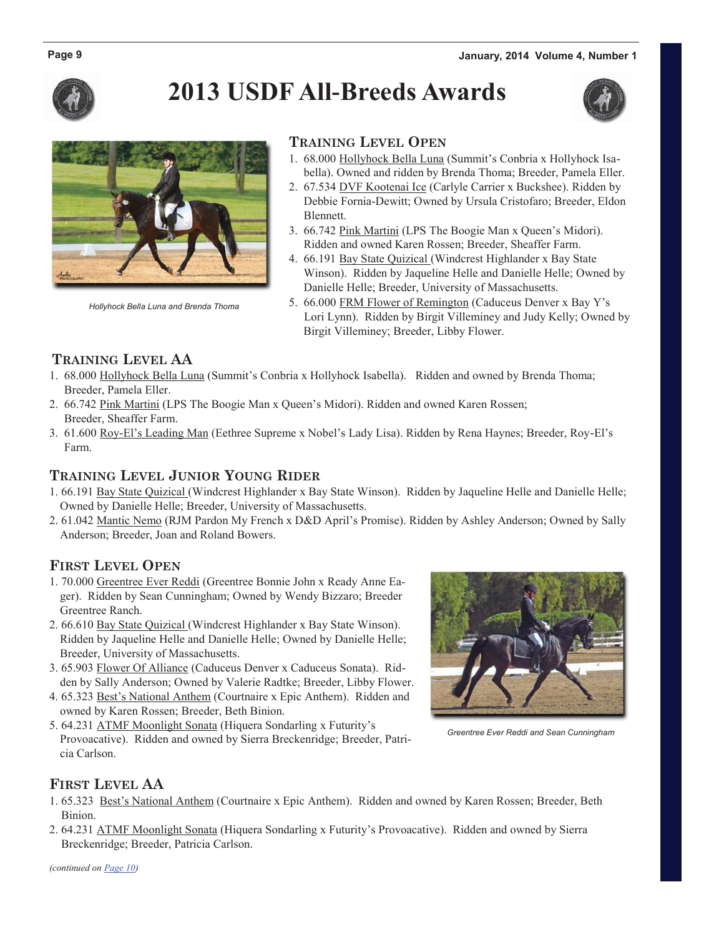

# **2013 USDF All-Breeds Awards**





*Hollyhock Bella Luna and Brenda Thoma*

#### **TRAINING LEVEL OPEN**

- 1. 68.000 Hollyhock Bella Luna (Summit's Conbria x Hollyhock Isa bella). Owned and ridden by Brenda Thoma; Breeder, Pamela Eller.
- 2. 67.534 DVF Kootenai Ice (Carlyle Carrier x Buckshee). Ridden by Debbie Fornia-Dewitt; Owned by Ursula Cristofaro; Breeder, Eldon Blennett.
- 3. 66.742 Pink Martini (LPS The Boogie Man x Queen's Midori). Ridden and owned Karen Rossen; Breeder, Sheaffer Farm.
- 4. 66.191 Bay State Quizical (Windcrest Highlander x Bay State Winson). Ridden by Jaqueline Helle and Danielle Helle; Owned by Danielle Helle; Breeder, University of Massachusetts.
- 5. 66.000 FRM Flower of Remington (Caduceus Denver x Bay Y's Lori Lynn). Ridden by Birgit Villeminey and Judy Kelly; Owned by Birgit Villeminey; Breeder, Libby Flower.

#### **TRAINING LEVEL AA**

- 1. 68.000 Hollyhock Bella Luna (Summit's Conbria x Hollyhock Isabella). Ridden and owned by Brenda Thoma; Breeder, Pamela Eller.
- 2. 66.742 Pink Martini (LPS The Boogie Man x Queen's Midori). Ridden and owned Karen Rossen; Breeder, Sheaffer Farm.
- 3. 61.600 Roy-El's Leading Man (Eethree Supreme x Nobel's Lady Lisa). Ridden by Rena Haynes; Breeder, Roy-El's Farm.

#### **TRAINING LEVEL JUNIOR YOUNG RIDER**

- 1. 66.191 Bay State Quizical (Windcrest Highlander x Bay State Winson). Ridden by Jaqueline Helle and Danielle Helle; Owned by Danielle Helle; Breeder, University of Massachusetts.
- 2. 61.042 Mantic Nemo (RJM Pardon My French x D&D April's Promise). Ridden by Ashley Anderson; Owned by Sally Anderson; Breeder, Joan and Roland Bowers.

#### **FIRST LEVEL OPEN**

- 1. 70.000 Greentree Ever Reddi (Greentree Bonnie John x Ready Anne Eager). Ridden by Sean Cunningham; Owned by Wendy Bizzaro; Breeder Greentree Ranch.
- 2. 66.610 Bay State Quizical (Windcrest Highlander x Bay State Winson). Ridden by Jaqueline Helle and Danielle Helle; Owned by Danielle Helle; Breeder, University of Massachusetts.
- 3. 65.903 Flower Of Alliance (Caduceus Denver x Caduceus Sonata). Ridden by Sally Anderson; Owned by Valerie Radtke; Breeder, Libby Flower.
- 4. 65.323 Best's National Anthem (Courtnaire x Epic Anthem). Ridden and owned by Karen Rossen; Breeder, Beth Binion.
- 5. 64.231 ATMF Moonlight Sonata (Hiquera Sondarling x Futurity's Provoacative). Ridden and owned by Sierra Breckenridge; Breeder, Patricia Carlson.



*Greentree Ever Reddi and Sean Cunningham*

#### **FIRST LEVEL AA**

- 1. 65.323 Best's National Anthem (Courtnaire x Epic Anthem). Ridden and owned by Karen Rossen; Breeder, Beth Binion.
- 2. 64.231 ATMF Moonlight Sonata (Hiquera Sondarling x Futurity's Provoacative). Ridden and owned by Sierra Breckenridge; Breeder, Patricia Carlson.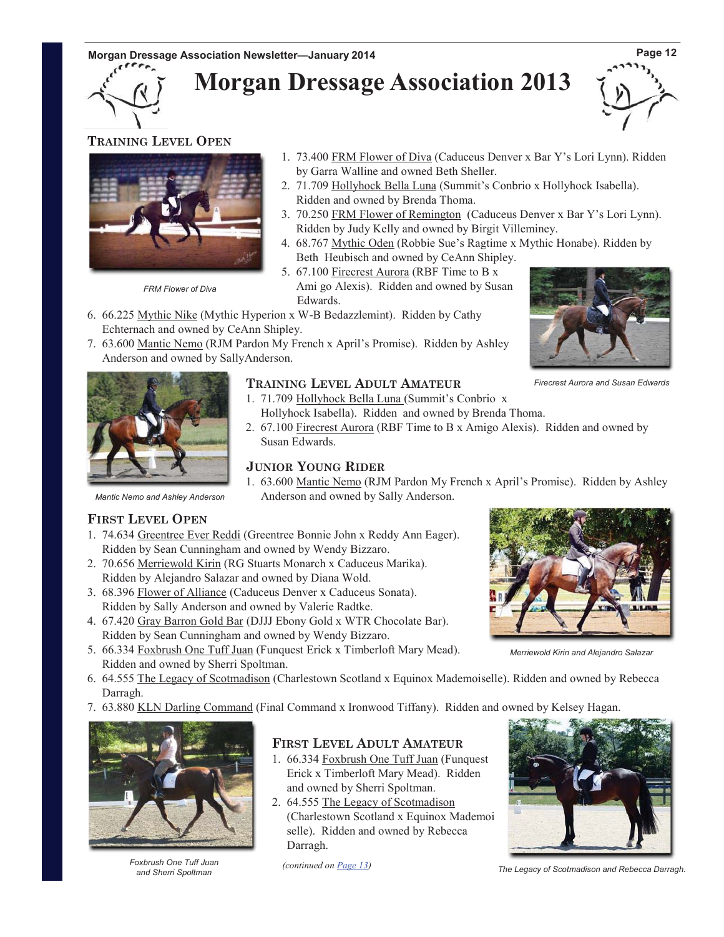**Morgan Dressage Association 2013**



#### **TRAINING LEVEL OPEN**



*FRM Flower of Diva* 

- 1. 73.400 FRM Flower of Diva (Caduceus Denver x Bar Y's Lori Lynn). Ridden by Garra Walline and owned Beth Sheller.
- 2. 71.709 Hollyhock Bella Luna (Summit's Conbrio x Hollyhock Isabella). Ridden and owned by Brenda Thoma.
- 3. 70.250 FRM Flower of Remington (Caduceus Denver x Bar Y's Lori Lynn). Ridden by Judy Kelly and owned by Birgit Villeminey.
- 4. 68.767 Mythic Oden (Robbie Sue's Ragtime x Mythic Honabe). Ridden by Beth Heubisch and owned by CeAnn Shipley.
- 5. 67.100 Firecrest Aurora (RBF Time to B x Ami go Alexis). Ridden and owned by Susan Edwards.
- 6. 66.225 Mythic Nike (Mythic Hyperion x W-B Bedazzlemint). Ridden by Cathy Echternach and owned by CeAnn Shipley.
- 7. 63.600 Mantic Nemo (RJM Pardon My French x April's Promise). Ridden by Ashley Anderson and owned by SallyAnderson.



*Firecrest Aurora and Susan Edwards*



#### **TRAINING LEVEL ADULT AMATEUR**

- 1. 71.709 Hollyhock Bella Luna (Summit's Conbrio x Hollyhock Isabella). Ridden and owned by Brenda Thoma.
- 2. 67.100 Firecrest Aurora (RBF Time to B x Amigo Alexis). Ridden and owned by Susan Edwards.

#### **JUNIOR YOUNG RIDER**

1. 63.600 Mantic Nemo (RJM Pardon My French x April's Promise). Ridden by Ashley Anderson and owned by Sally Anderson.

*Mantic Nemo and Ashley Anderson*

#### **FIRST LEVEL OPEN**

- 1. 74.634 Greentree Ever Reddi (Greentree Bonnie John x Reddy Ann Eager). Ridden by Sean Cunningham and owned by Wendy Bizzaro.
- 2. 70.656 Merriewold Kirin (RG Stuarts Monarch x Caduceus Marika). Ridden by Alejandro Salazar and owned by Diana Wold.
- 3. 68.396 Flower of Alliance (Caduceus Denver x Caduceus Sonata). Ridden by Sally Anderson and owned by Valerie Radtke.
- 4. 67.420 Gray Barron Gold Bar (DJJJ Ebony Gold x WTR Chocolate Bar). Ridden by Sean Cunningham and owned by Wendy Bizzaro.
- 5. 66.334 Foxbrush One Tuff Juan (Funquest Erick x Timberloft Mary Mead). Ridden and owned by Sherri Spoltman.
- 6. 64.555 The Legacy of Scotmadison (Charlestown Scotland x Equinox Mademoiselle). Ridden and owned by Rebecca Darragh.
- 7. 63.880 KLN Darling Command (Final Command x Ironwood Tiffany). Ridden and owned by Kelsey Hagan.



*Foxbrush One Tuff Juan and Sherri Spoltman*

#### **FIRST LEVEL ADULT AMATEUR**

- 1. 66.334 Foxbrush One Tuff Juan (Funquest Erick x Timberloft Mary Mead). Ridden and owned by Sherri Spoltman.
- 2. 64.555 The Legacy of Scotmadison (Charlestown Scotland x Equinox Mademoi selle). Ridden and owned by Rebecca Darragh.



*Merriewold Kirin and Alejandro Salazar*

 *(continued on Page 13)*

*The Legacy of Scotmadison and Rebecca Darragh.*